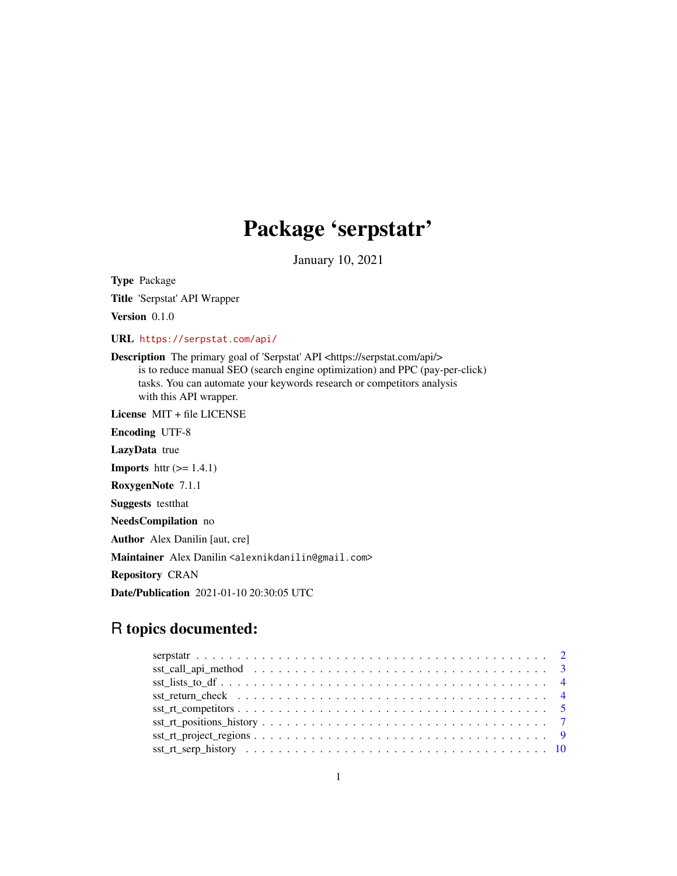## Package 'serpstatr'

January 10, 2021

Type Package Title 'Serpstat' API Wrapper

Version 0.1.0

URL <https://serpstat.com/api/>

Description The primary goal of 'Serpstat' API <https://serpstat.com/api/> is to reduce manual SEO (search engine optimization) and PPC (pay-per-click) tasks. You can automate your keywords research or competitors analysis with this API wrapper.

License MIT + file LICENSE Encoding UTF-8 LazyData true **Imports** httr  $(>= 1.4.1)$ RoxygenNote 7.1.1 Suggests testthat NeedsCompilation no Author Alex Danilin [aut, cre] Maintainer Alex Danilin <alexnikdanilin@gmail.com>

Repository CRAN

Date/Publication 2021-01-10 20:30:05 UTC

## R topics documented:

| $sst\_rt\_project\_regions \dots \dots \dots \dots \dots \dots \dots \dots \dots \dots \dots \dots \dots \dots \dots$ |  |
|-----------------------------------------------------------------------------------------------------------------------|--|
|                                                                                                                       |  |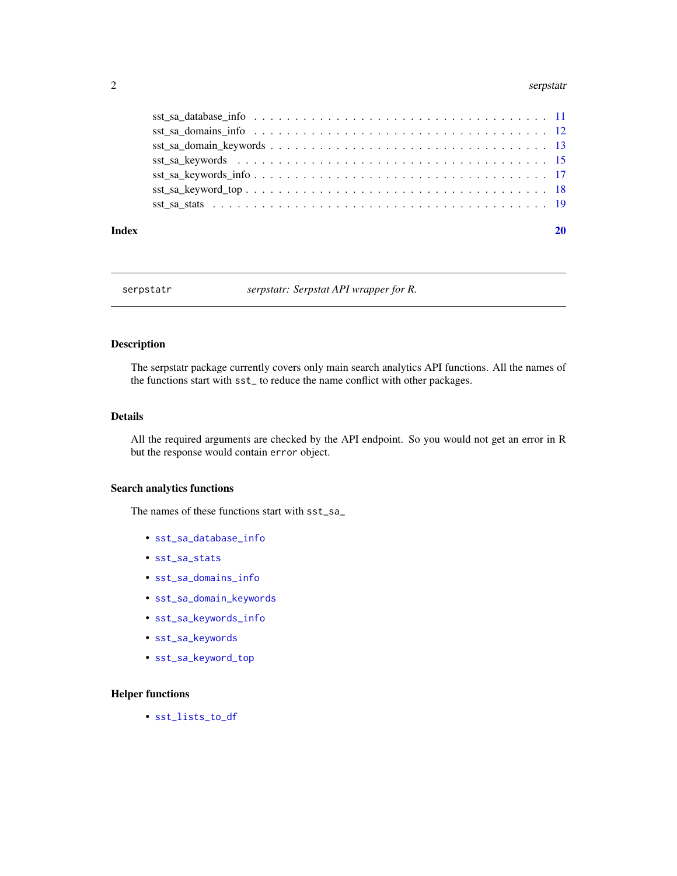#### <span id="page-1-0"></span>2 serpstatr and the serpstatr and the serpstatr and the serpstatr and the serpstatr and the serpstatr and the series of  $\sim$  1.1  $\mu$  serpstatr and the series of  $\mu$  series of  $\mu$  series of  $\mu$  series of  $\mu$  series of

#### $\bf 1$ ndex  $\bf 20$  $\bf 20$

serpstatr *serpstatr: Serpstat API wrapper for R.*

## Description

The serpstatr package currently covers only main search analytics API functions. All the names of the functions start with sst\_ to reduce the name conflict with other packages.

## Details

All the required arguments are checked by the API endpoint. So you would not get an error in R but the response would contain error object.

#### Search analytics functions

The names of these functions start with sst\_sa\_

- [sst\\_sa\\_database\\_info](#page-10-1)
- [sst\\_sa\\_stats](#page-18-1)
- [sst\\_sa\\_domains\\_info](#page-11-1)
- [sst\\_sa\\_domain\\_keywords](#page-12-1)
- [sst\\_sa\\_keywords\\_info](#page-16-1)
- [sst\\_sa\\_keywords](#page-14-1)
- [sst\\_sa\\_keyword\\_top](#page-17-1)

#### Helper functions

• [sst\\_lists\\_to\\_df](#page-3-1)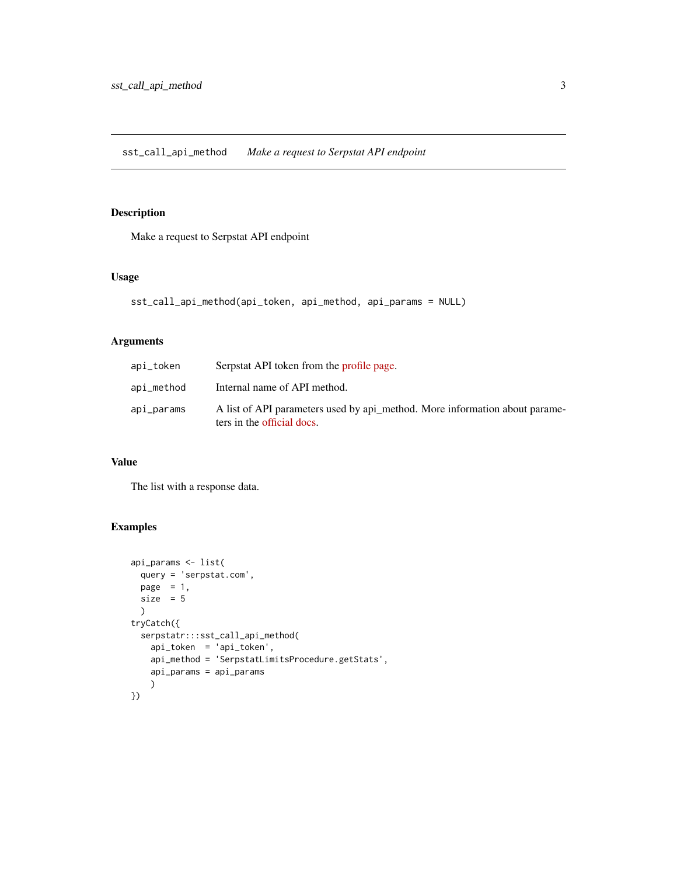<span id="page-2-1"></span><span id="page-2-0"></span>sst\_call\_api\_method *Make a request to Serpstat API endpoint*

## Description

Make a request to Serpstat API endpoint

#### Usage

```
sst_call_api_method(api_token, api_method, api_params = NULL)
```
## Arguments

| api_token  | Serpstat API token from the profile page.                                                                 |
|------------|-----------------------------------------------------------------------------------------------------------|
| api_method | Internal name of API method.                                                                              |
| api_params | A list of API parameters used by api method. More information about parame-<br>ters in the official docs. |

## Value

The list with a response data.

```
api_params <- list(
 query = 'serpstat.com',
 page = 1,
  size = 5\lambdatryCatch({
  serpstatr:::sst_call_api_method(
   api_token = 'api_token',
   api_method = 'SerpstatLimitsProcedure.getStats',
   api_params = api_params
    )
})
```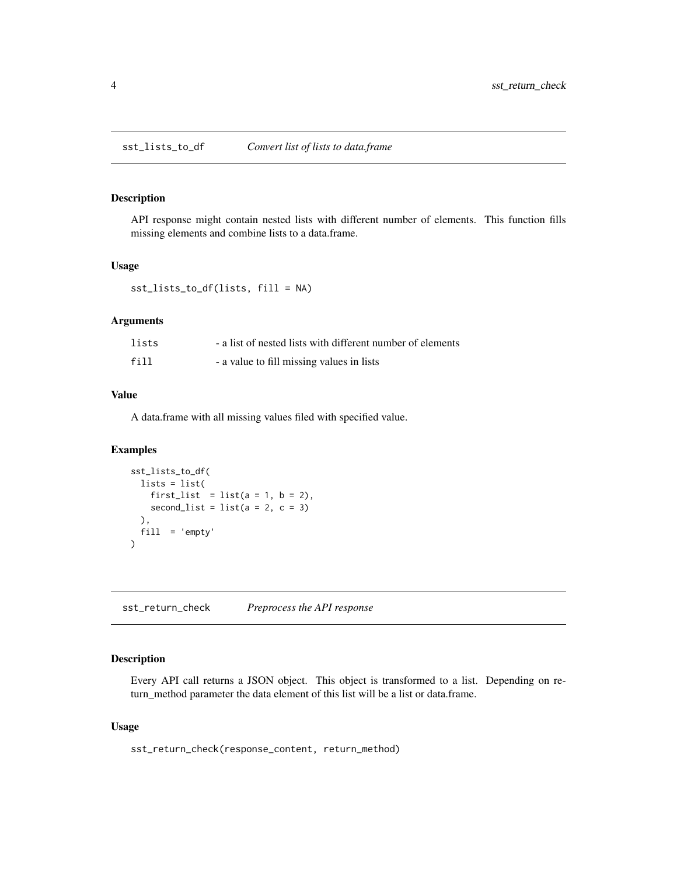<span id="page-3-1"></span><span id="page-3-0"></span>

#### Description

API response might contain nested lists with different number of elements. This function fills missing elements and combine lists to a data.frame.

#### Usage

sst\_lists\_to\_df(lists, fill = NA)

#### Arguments

| lists | - a list of nested lists with different number of elements |
|-------|------------------------------------------------------------|
| fill  | - a value to fill missing values in lists                  |

#### Value

A data.frame with all missing values filed with specified value.

## Examples

```
sst_lists_to_df(
  lists = list(
   first_list = list(a = 1, b = 2),
   second_list = list(a = 2, c = 3)),
  fill = 'empty'
)
```
sst\_return\_check *Preprocess the API response*

## Description

Every API call returns a JSON object. This object is transformed to a list. Depending on return\_method parameter the data element of this list will be a list or data.frame.

#### Usage

sst\_return\_check(response\_content, return\_method)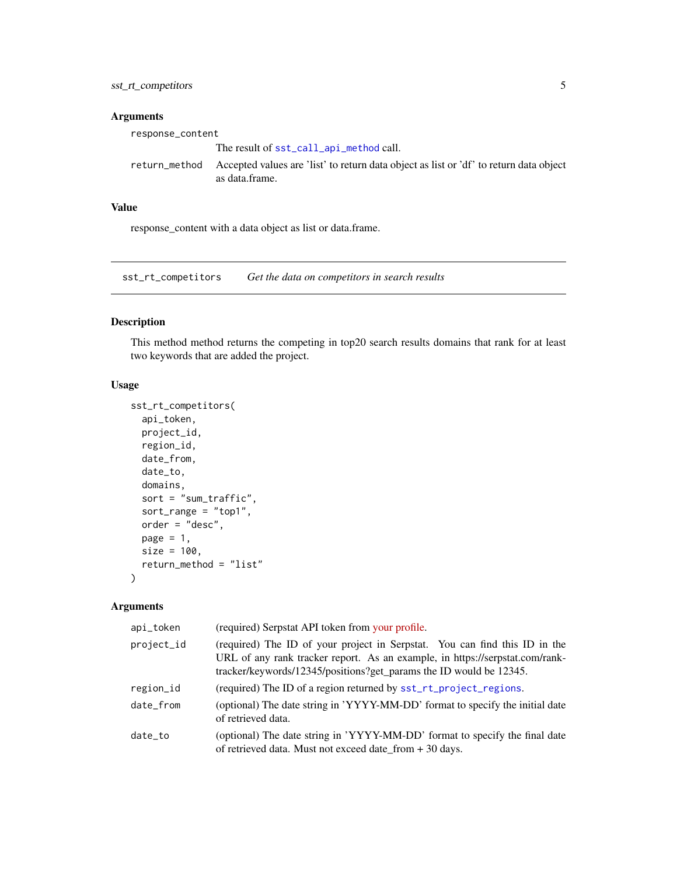## <span id="page-4-0"></span>Arguments

| response_content |                                                                                                                        |
|------------------|------------------------------------------------------------------------------------------------------------------------|
|                  | The result of sst_call_api_method call.                                                                                |
|                  | return method Accepted values are 'list' to return data object as list or 'df' to return data object<br>as data frame. |

#### Value

response\_content with a data object as list or data.frame.

sst\_rt\_competitors *Get the data on competitors in search results*

## Description

This method method returns the competing in top20 search results domains that rank for at least two keywords that are added the project.

## Usage

```
sst_rt_competitors(
  api_token,
  project_id,
  region_id,
  date_from,
  date_to,
  domains,
  sort = "sum_traffic",
  sort_range = "top1",
  order = "desc",page = 1,
  size = 100,return_method = "list"
)
```

| api_token  | (required) Serpstat API token from your profile.                                                                                                                                                                                 |
|------------|----------------------------------------------------------------------------------------------------------------------------------------------------------------------------------------------------------------------------------|
| project_id | (required) The ID of your project in Serpstat. You can find this ID in the<br>URL of any rank tracker report. As an example, in https://serpstat.com/rank-<br>tracker/keywords/12345/positions?get_params the ID would be 12345. |
| region_id  | (required) The ID of a region returned by sst_rt_project_regions.                                                                                                                                                                |
| date from  | (optional) The date string in 'YYYY-MM-DD' format to specify the initial date<br>of retrieved data.                                                                                                                              |
| date_to    | (optional) The date string in 'YYYY-MM-DD' format to specify the final date<br>of retrieved data. Must not exceed date_from $+30$ days.                                                                                          |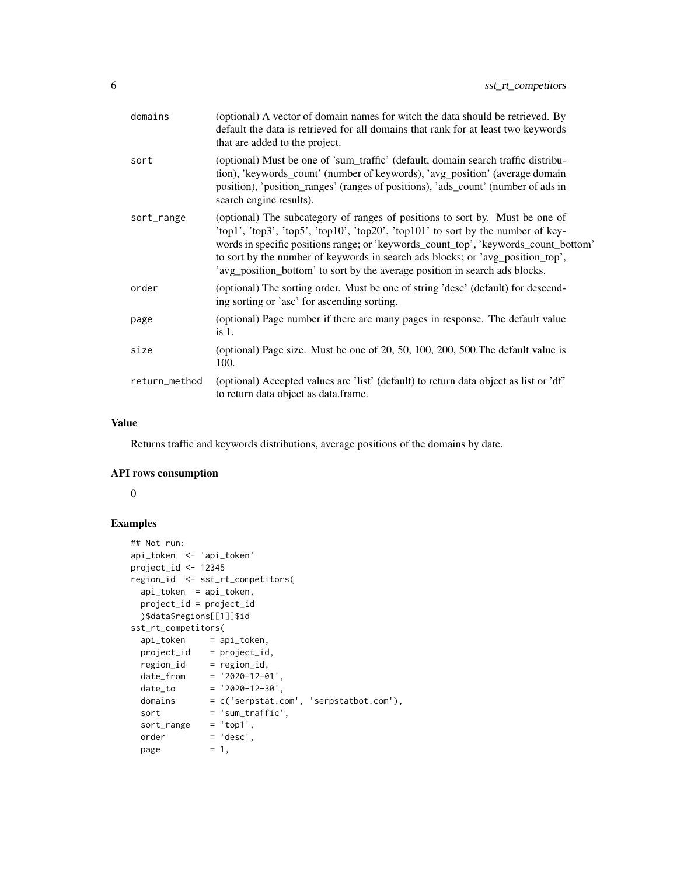| domains       | (optional) A vector of domain names for witch the data should be retrieved. By<br>default the data is retrieved for all domains that rank for at least two keywords<br>that are added to the project.                                                                                                                                                                                                                    |
|---------------|--------------------------------------------------------------------------------------------------------------------------------------------------------------------------------------------------------------------------------------------------------------------------------------------------------------------------------------------------------------------------------------------------------------------------|
| sort          | (optional) Must be one of 'sum_traffic' (default, domain search traffic distribu-<br>tion), 'keywords_count' (number of keywords), 'avg_position' (average domain<br>position), 'position_ranges' (ranges of positions), 'ads_count' (number of ads in<br>search engine results).                                                                                                                                        |
| sort_range    | (optional) The subcategory of ranges of positions to sort by. Must be one of<br>'top1', 'top3', 'top5', 'top10', 'top20', 'top101' to sort by the number of key-<br>words in specific positions range; or 'keywords_count_top', 'keywords_count_bottom'<br>to sort by the number of keywords in search ads blocks; or 'avg_position_top',<br>'avg_position_bottom' to sort by the average position in search ads blocks. |
| order         | (optional) The sorting order. Must be one of string 'desc' (default) for descend-<br>ing sorting or 'asc' for ascending sorting.                                                                                                                                                                                                                                                                                         |
| page          | (optional) Page number if there are many pages in response. The default value<br>$is1$ .                                                                                                                                                                                                                                                                                                                                 |
| size          | (optional) Page size. Must be one of 20, 50, 100, 200, 500. The default value is<br>100.                                                                                                                                                                                                                                                                                                                                 |
| return_method | (optional) Accepted values are 'list' (default) to return data object as list or 'df'<br>to return data object as data.frame.                                                                                                                                                                                                                                                                                            |

Returns traffic and keywords distributions, average positions of the domains by date.

## API rows consumption

0

```
## Not run:
api_token <- 'api_token'
project_id <- 12345
region_id <- sst_rt_competitors(
 api_token = api_token,
 project_id = project_id
 )$data$regions[[1]]$id
sst_rt_competitors(
 api_token = api_token,
 project_id = project_id,
  region_id = region_id,date_from = '2020-12-01',
  date_to = '2020-12-30',
  domains = c('serpstat.com', 'serpstatbot.com'),
  sort = 'sum\_traffic',sort_range = 'top1',
 order = 'desc',
 page = 1,
```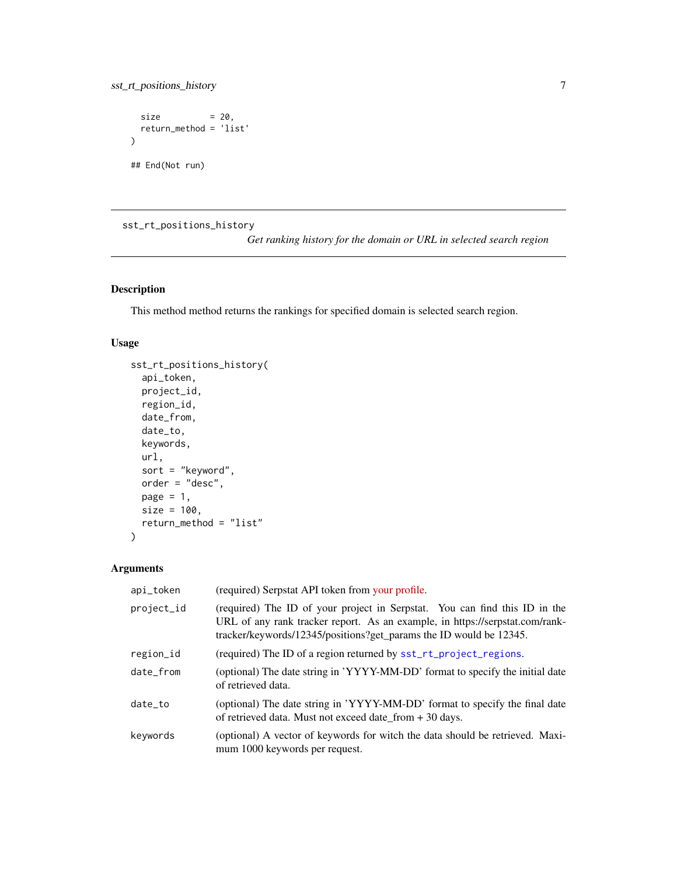<span id="page-6-0"></span>sst\_rt\_positions\_history 7

```
size = 20,
 return_method = 'list'
)
## End(Not run)
```
sst\_rt\_positions\_history

*Get ranking history for the domain or URL in selected search region*

## Description

This method method returns the rankings for specified domain is selected search region.

### Usage

```
sst_rt_positions_history(
  api_token,
 project_id,
 region_id,
 date_from,
 date_to,
 keywords,
 url,
 sort = "keyword",
 order = "desc",
 page = 1,
 size = 100,
 return_method = "list"
\mathcal{L}
```

| api_token  | (required) Serpstat API token from your profile.                                                                                                                                                                                 |
|------------|----------------------------------------------------------------------------------------------------------------------------------------------------------------------------------------------------------------------------------|
| project_id | (required) The ID of your project in Serpstat. You can find this ID in the<br>URL of any rank tracker report. As an example, in https://serpstat.com/rank-<br>tracker/keywords/12345/positions?get_params the ID would be 12345. |
| region_id  | (required) The ID of a region returned by sst_rt_project_regions.                                                                                                                                                                |
| date from  | (optional) The date string in 'YYYY-MM-DD' format to specify the initial date<br>of retrieved data.                                                                                                                              |
| date_to    | (optional) The date string in 'YYYY-MM-DD' format to specify the final date<br>of retrieved data. Must not exceed date_from + 30 days.                                                                                           |
| keywords   | (optional) A vector of keywords for witch the data should be retrieved. Maxi-<br>mum 1000 keywords per request.                                                                                                                  |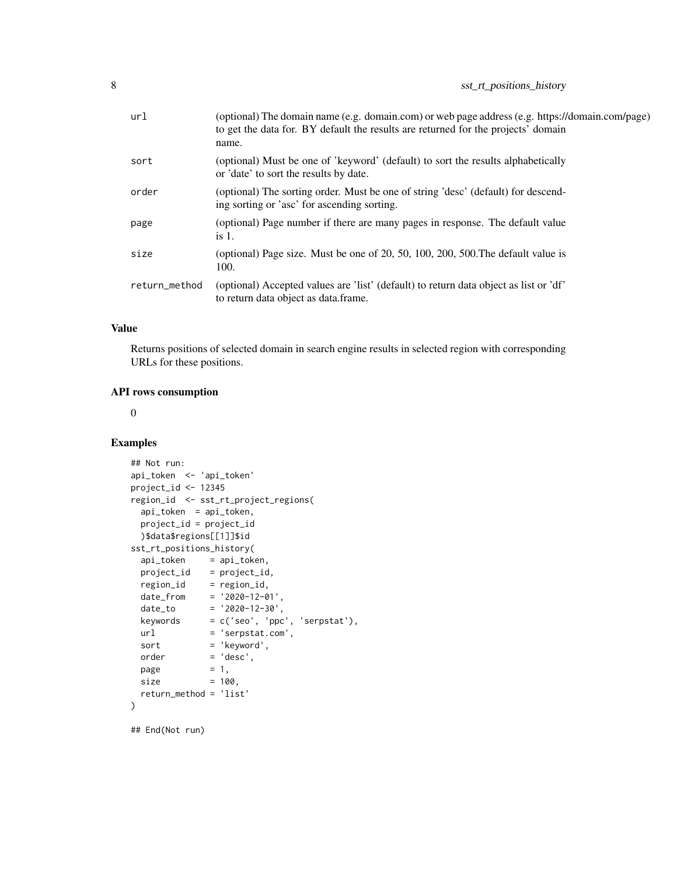| url           | (optional) The domain name (e.g. domain.com) or web page address (e.g. https://domain.com/page)<br>to get the data for. BY default the results are returned for the projects' domain<br>name. |
|---------------|-----------------------------------------------------------------------------------------------------------------------------------------------------------------------------------------------|
| sort          | (optional) Must be one of 'keyword' (default) to sort the results alphabetically<br>or 'date' to sort the results by date.                                                                    |
| order         | (optional) The sorting order. Must be one of string 'desc' (default) for descend-<br>ing sorting or 'asc' for ascending sorting.                                                              |
| page          | (optional) Page number if there are many pages in response. The default value<br>is $1$ .                                                                                                     |
| size          | (optional) Page size. Must be one of 20, 50, 100, 200, 500. The default value is<br>100.                                                                                                      |
| return_method | (optional) Accepted values are 'list' (default) to return data object as list or 'df'<br>to return data object as data.frame.                                                                 |
|               |                                                                                                                                                                                               |

Returns positions of selected domain in search engine results in selected region with corresponding URLs for these positions.

#### API rows consumption

 $\theta$ 

## Examples

```
## Not run:
api_token <- 'api_token'
project_id <- 12345
region_id <- sst_rt_project_regions(
 api_token = api_token,
 project_id = project_id
 )$data$regions[[1]]$id
sst_rt_positions_history(
  api_token = api_token,
  project_id = project_id,
 region_id = region_id,
 date_from = '2020-12-01',
 date_to = '2020-12-30',
 keywords = c('seo', 'ppc', 'serpstat'),url = 'serpstat.com',
 sort = 'keyword',
 order = 'desc',
 page = 1,size = 100,
 return_method = 'list'
)
```
## End(Not run)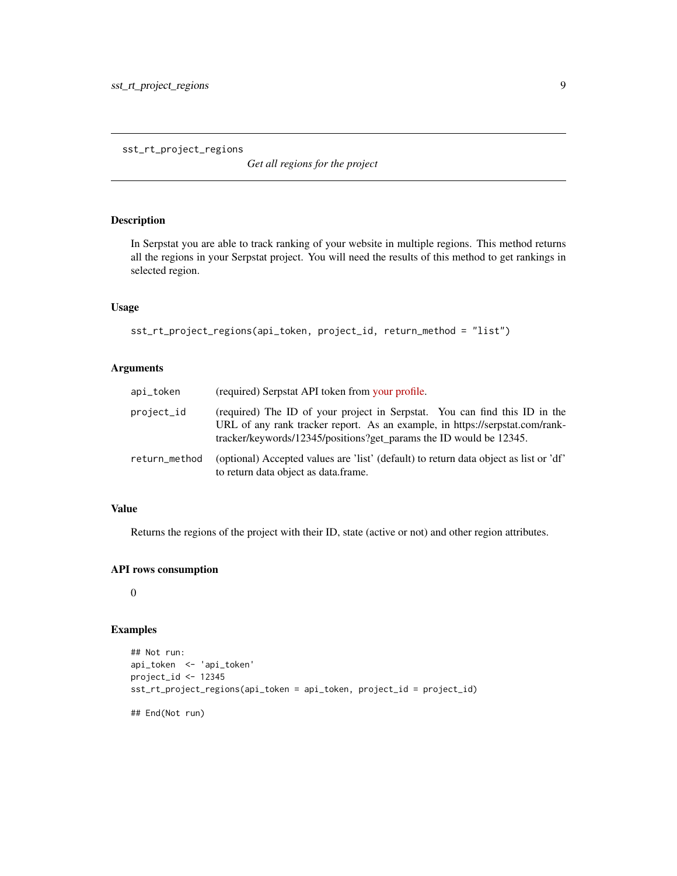<span id="page-8-1"></span><span id="page-8-0"></span>sst\_rt\_project\_regions

*Get all regions for the project*

### Description

In Serpstat you are able to track ranking of your website in multiple regions. This method returns all the regions in your Serpstat project. You will need the results of this method to get rankings in selected region.

#### Usage

```
sst_rt_project_regions(api_token, project_id, return_method = "list")
```
#### Arguments

| api_token     | (required) Serpstat API token from your profile.                                                                                                                                                                                 |
|---------------|----------------------------------------------------------------------------------------------------------------------------------------------------------------------------------------------------------------------------------|
| project_id    | (required) The ID of your project in Serpstat. You can find this ID in the<br>URL of any rank tracker report. As an example, in https://serpstat.com/rank-<br>tracker/keywords/12345/positions?get_params the ID would be 12345. |
| return_method | (optional) Accepted values are 'list' (default) to return data object as list or 'df'<br>to return data object as data.frame.                                                                                                    |

## Value

Returns the regions of the project with their ID, state (active or not) and other region attributes.

#### API rows consumption

0

```
## Not run:
api_token <- 'api_token'
project_id <- 12345
sst_rt_project_regions(api_token = api_token, project_id = project_id)
## End(Not run)
```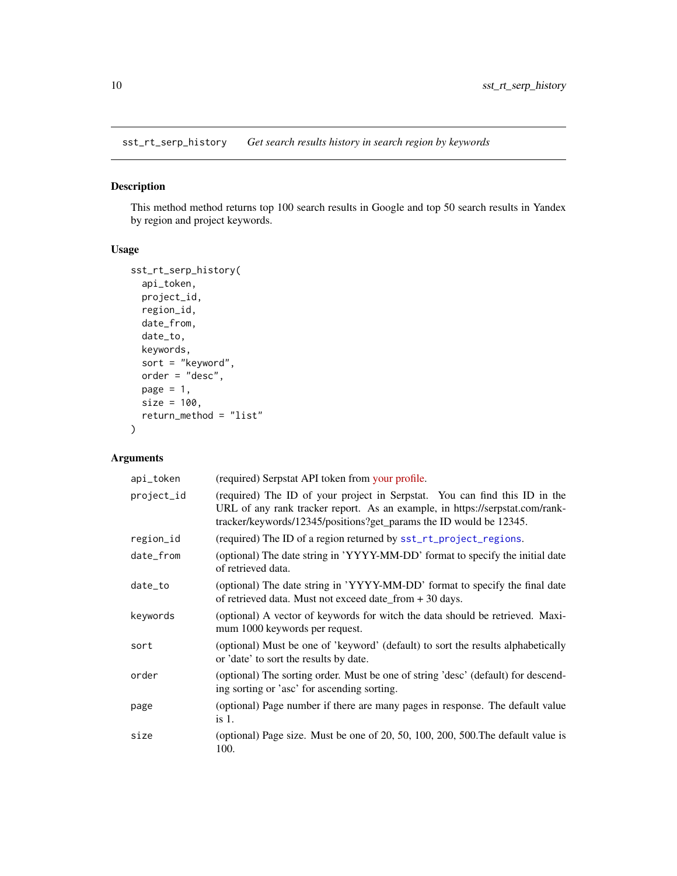<span id="page-9-0"></span>sst\_rt\_serp\_history *Get search results history in search region by keywords*

## Description

This method method returns top 100 search results in Google and top 50 search results in Yandex by region and project keywords.

## Usage

```
sst_rt_serp_history(
  api_token,
 project_id,
 region_id,
 date_from,
 date_to,
 keywords,
  sort = "keyword",
 order = "desc",
 page = 1,
 size = 100,
 return_method = "list"
)
```

| api_token  | (required) Serpstat API token from your profile.                                                                                                                                                                                 |
|------------|----------------------------------------------------------------------------------------------------------------------------------------------------------------------------------------------------------------------------------|
| project_id | (required) The ID of your project in Serpstat. You can find this ID in the<br>URL of any rank tracker report. As an example, in https://serpstat.com/rank-<br>tracker/keywords/12345/positions?get_params the ID would be 12345. |
| region_id  | (required) The ID of a region returned by sst_rt_project_regions.                                                                                                                                                                |
| date_from  | (optional) The date string in 'YYYY-MM-DD' format to specify the initial date<br>of retrieved data.                                                                                                                              |
| date_to    | (optional) The date string in 'YYYY-MM-DD' format to specify the final date<br>of retrieved data. Must not exceed date_from + 30 days.                                                                                           |
| keywords   | (optional) A vector of keywords for witch the data should be retrieved. Maxi-<br>mum 1000 keywords per request.                                                                                                                  |
| sort       | (optional) Must be one of 'keyword' (default) to sort the results alphabetically<br>or 'date' to sort the results by date.                                                                                                       |
| order      | (optional) The sorting order. Must be one of string 'desc' (default) for descend-<br>ing sorting or 'asc' for ascending sorting.                                                                                                 |
| page       | (optional) Page number if there are many pages in response. The default value<br>is 1.                                                                                                                                           |
| size       | (optional) Page size. Must be one of 20, 50, 100, 200, 500. The default value is<br>100.                                                                                                                                         |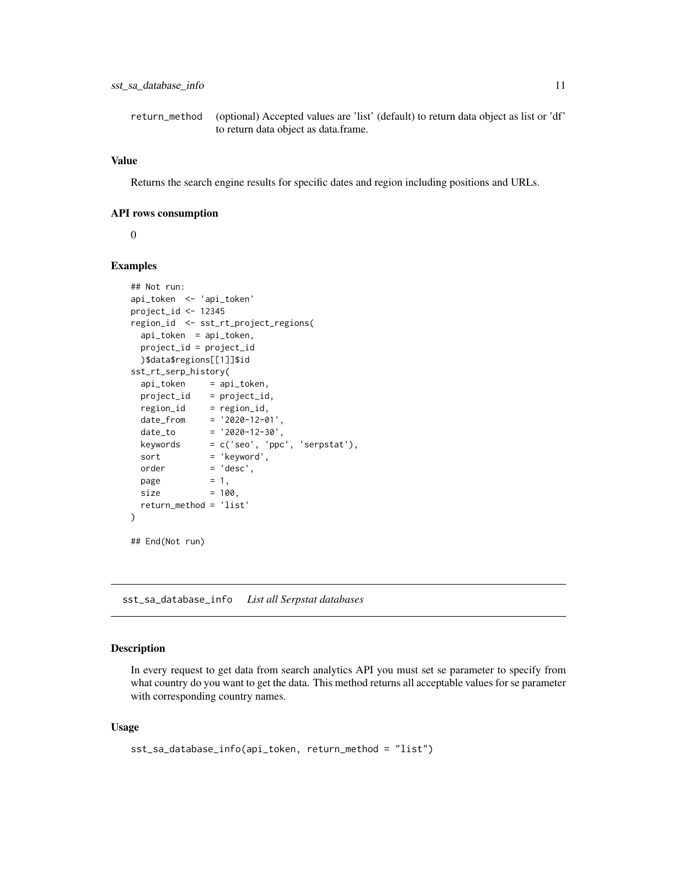<span id="page-10-0"></span>return\_method (optional) Accepted values are 'list' (default) to return data object as list or 'df' to return data object as data.frame.

#### Value

Returns the search engine results for specific dates and region including positions and URLs.

#### API rows consumption

 $\Omega$ 

#### Examples

```
## Not run:
api_token <- 'api_token'
project_id <- 12345
region_id <- sst_rt_project_regions(
 api_token = api_token,
 project_id = project_id
 )$data$regions[[1]]$id
sst_rt_serp_history(
 api_token = api_token,
 project_id = project_id,region_id = region_id,
  date_from = '2020-12-01',
 date_to = '2020-12-30',keywords = c('seo', 'ppc', 'serpstat'),
 sort = 'keyword',
 order = 'desc',
 page = 1,
 size = 100,
 return_method = 'list'
\mathcal{E}## End(Not run)
```
<span id="page-10-1"></span>sst\_sa\_database\_info *List all Serpstat databases*

#### Description

In every request to get data from search analytics API you must set se parameter to specify from what country do you want to get the data. This method returns all acceptable values for se parameter with corresponding country names.

#### Usage

```
sst_sa_database_info(api_token, return_method = "list")
```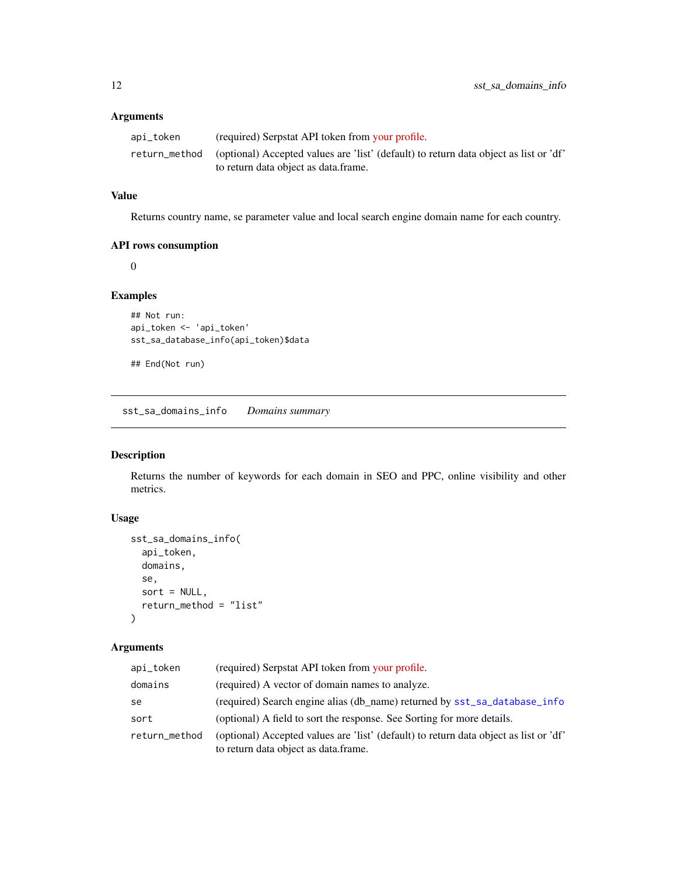#### <span id="page-11-0"></span>Arguments

| api_token | (required) Serpstat API token from your profile.                                                                                            |
|-----------|---------------------------------------------------------------------------------------------------------------------------------------------|
|           | return_method (optional) Accepted values are 'list' (default) to return data object as list or 'df'<br>to return data object as data.frame. |

## Value

Returns country name, se parameter value and local search engine domain name for each country.

## API rows consumption

0

## Examples

```
## Not run:
api_token <- 'api_token'
sst_sa_database_info(api_token)$data
```
## End(Not run)

<span id="page-11-1"></span>sst\_sa\_domains\_info *Domains summary*

## Description

Returns the number of keywords for each domain in SEO and PPC, online visibility and other metrics.

## Usage

```
sst_sa_domains_info(
  api_token,
 domains,
  se,
  sort = NULL,return_method = "list"
)
```

| api_token     | (required) Serpstat API token from your profile.                                                                              |
|---------------|-------------------------------------------------------------------------------------------------------------------------------|
| domains       | (required) A vector of domain names to analyze.                                                                               |
| se            | (required) Search engine alias (db_name) returned by sst_sa_database_info                                                     |
| sort          | (optional) A field to sort the response. See Sorting for more details.                                                        |
| return_method | (optional) Accepted values are 'list' (default) to return data object as list or 'df'<br>to return data object as data.frame. |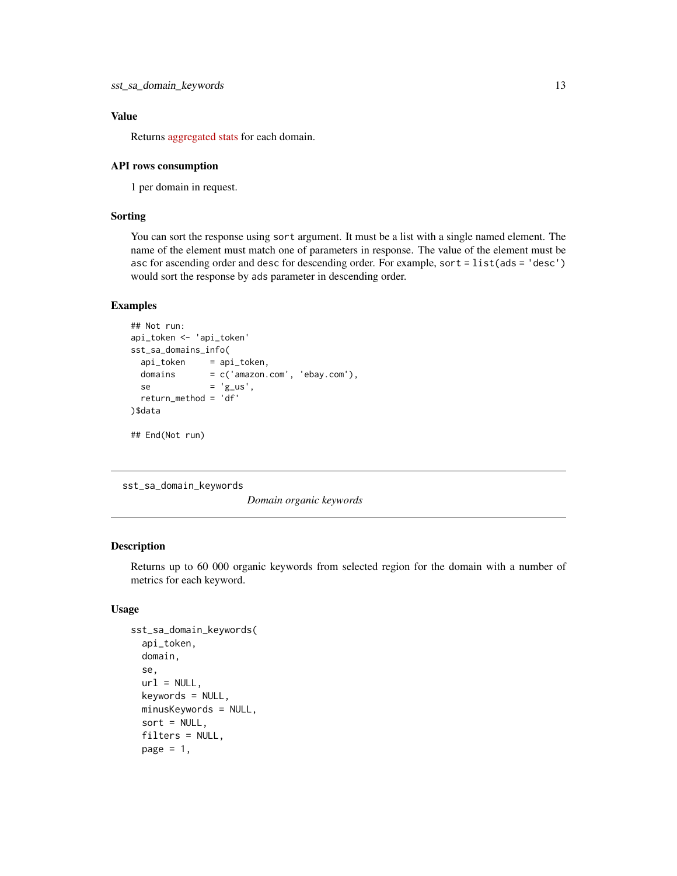<span id="page-12-0"></span>Returns [aggregated stats](https://serpstat.com/api/14-domain-summary-report-domaininfo/) for each domain.

#### API rows consumption

1 per domain in request.

#### Sorting

You can sort the response using sort argument. It must be a list with a single named element. The name of the element must match one of parameters in response. The value of the element must be asc for ascending order and desc for descending order. For example, sort = list(ads = 'desc') would sort the response by ads parameter in descending order.

#### Examples

```
## Not run:
api_token <- 'api_token'
sst_sa_domains_info(
 api_token = api_token,
 domains = c('amazon.com', 'ebay.com'),
 se = 'g_us',return_method = 'df'
)$data
## End(Not run)
```
<span id="page-12-1"></span>sst\_sa\_domain\_keywords

*Domain organic keywords*

#### Description

Returns up to 60 000 organic keywords from selected region for the domain with a number of metrics for each keyword.

#### Usage

```
sst_sa_domain_keywords(
  api_token,
  domain,
  se,
  url = NULL,keywords = NULL,
 minusKeywords = NULL,
  sort = NULL,filters = NULL,
  page = 1,
```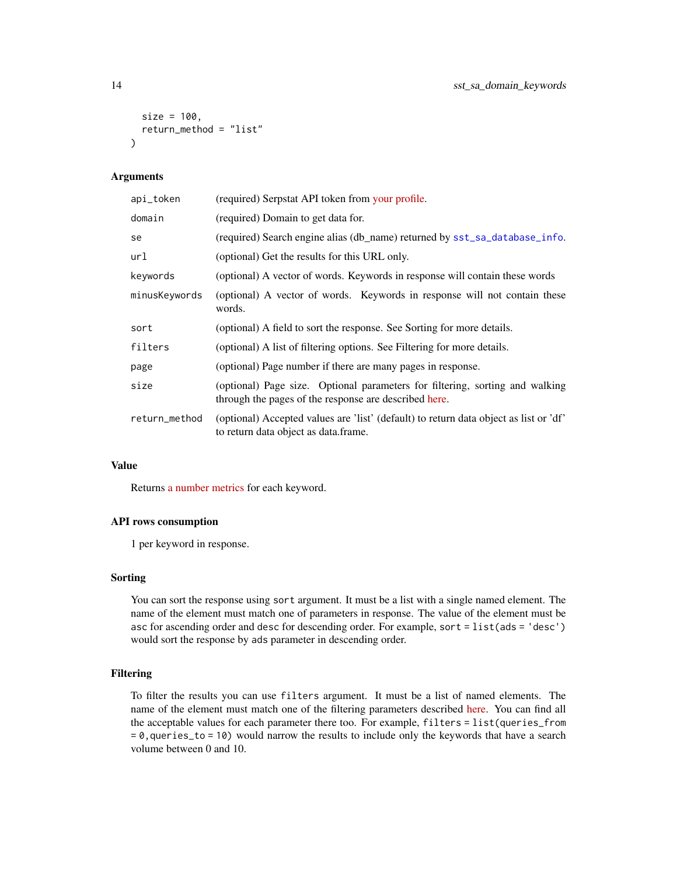```
size = 100,return_method = "list"
)
```
## Arguments

| api_token     | (required) Serpstat API token from your profile.                                                                                      |
|---------------|---------------------------------------------------------------------------------------------------------------------------------------|
| domain        | (required) Domain to get data for.                                                                                                    |
| se            | (required) Search engine alias (db_name) returned by sst_sa_database_info.                                                            |
| url           | (optional) Get the results for this URL only.                                                                                         |
| keywords      | (optional) A vector of words. Keywords in response will contain these words                                                           |
| minusKeywords | (optional) A vector of words. Keywords in response will not contain these<br>words.                                                   |
| sort          | (optional) A field to sort the response. See Sorting for more details.                                                                |
| filters       | (optional) A list of filtering options. See Filtering for more details.                                                               |
| page          | (optional) Page number if there are many pages in response.                                                                           |
| size          | (optional) Page size. Optional parameters for filtering, sorting and walking<br>through the pages of the response are described here. |
| return_method | (optional) Accepted values are 'list' (default) to return data object as list or 'df'<br>to return data object as data.frame.         |

## Value

Returns [a number metrics](https://serpstat.com/api/18-domain-organic-keywords-domainkeywords/) for each keyword.

### API rows consumption

1 per keyword in response.

#### Sorting

You can sort the response using sort argument. It must be a list with a single named element. The name of the element must match one of parameters in response. The value of the element must be asc for ascending order and desc for descending order. For example, sort = list(ads = 'desc') would sort the response by ads parameter in descending order.

## Filtering

To filter the results you can use filters argument. It must be a list of named elements. The name of the element must match one of the filtering parameters described [here.](https://serpstat.com/api/61-filtering-and-sorting-results/) You can find all the acceptable values for each parameter there too. For example, filters = list(queries\_from = 0,queries\_to = 10) would narrow the results to include only the keywords that have a search volume between 0 and 10.

<span id="page-13-0"></span>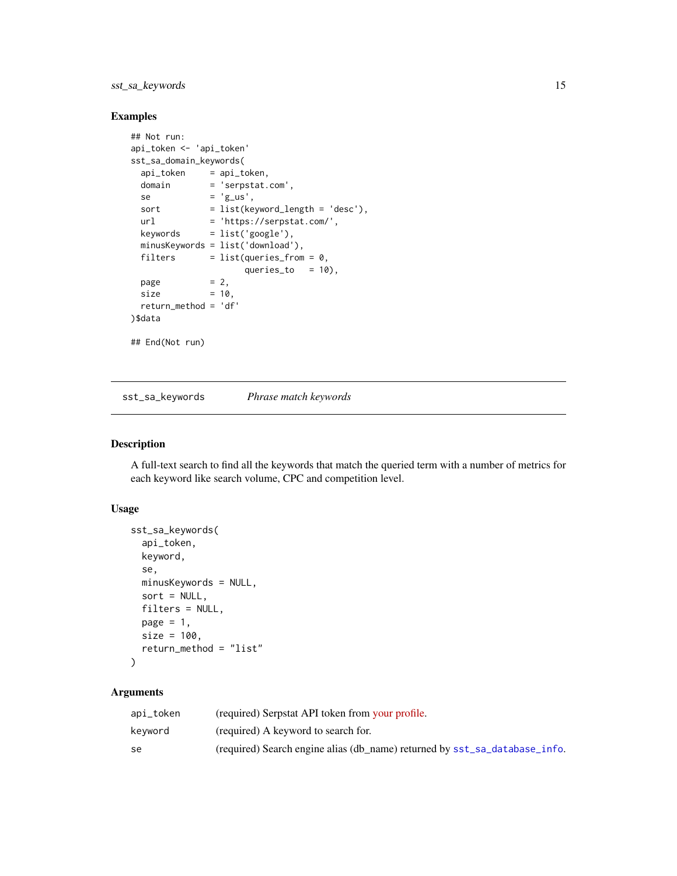## <span id="page-14-0"></span>sst\_sa\_keywords 15

## Examples

```
## Not run:
api_token <- 'api_token'
sst_sa_domain_keywords(
 api_token = api_token,
 domain = 'serpstat.com',
 se = 'g<sub>_us</sub>',
 sort = list(keyword_length = 'desc'),url = 'https://serpstat.com/',
 keywords = list('google'),minusKeywords = list('download'),
 filters = list(queries\_from = 0,queries_to = 10),
 page = 2,
 size = 10,
 return_method = 'df'
)$data
## End(Not run)
```
<span id="page-14-1"></span>sst\_sa\_keywords *Phrase match keywords*

## Description

A full-text search to find all the keywords that match the queried term with a number of metrics for each keyword like search volume, CPC and competition level.

#### Usage

```
sst_sa_keywords(
  api_token,
  keyword,
  se,
 minusKeywords = NULL,
  sort = NULL,filters = NULL,
 page = 1,
 size = 100,
  return_method = "list"
)
```

| api_token | (required) Serpstat API token from your profile.                           |
|-----------|----------------------------------------------------------------------------|
| kevword   | (required) A keyword to search for.                                        |
| se        | (required) Search engine alias (db_name) returned by sst_sa_database_info. |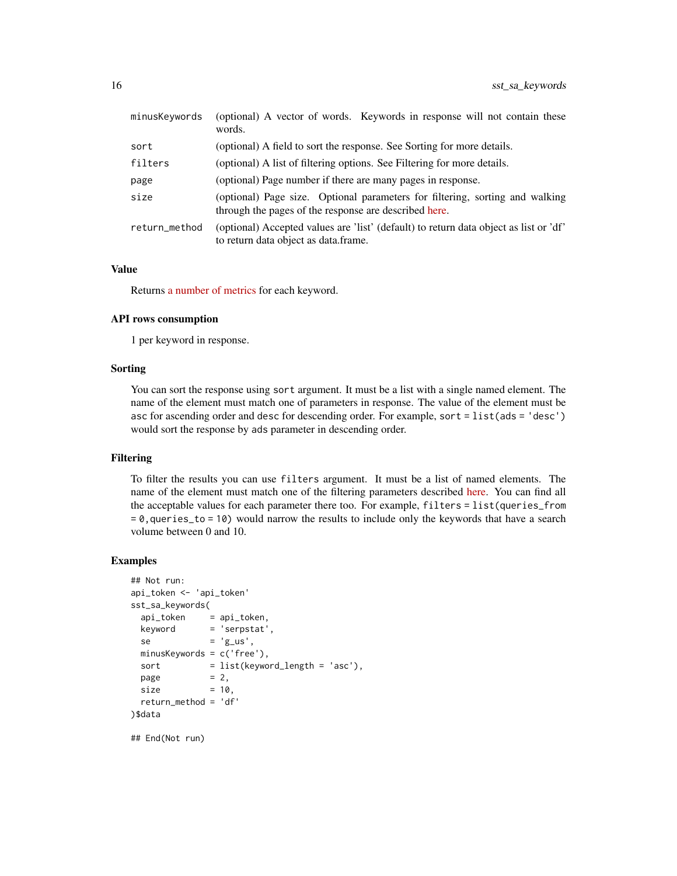| minusKeywords | (optional) A vector of words. Keywords in response will not contain these<br>words.                                                   |
|---------------|---------------------------------------------------------------------------------------------------------------------------------------|
| sort          | (optional) A field to sort the response. See Sorting for more details.                                                                |
| filters       | (optional) A list of filtering options. See Filtering for more details.                                                               |
| page          | (optional) Page number if there are many pages in response.                                                                           |
| size          | (optional) Page size. Optional parameters for filtering, sorting and walking<br>through the pages of the response are described here. |
| return_method | (optional) Accepted values are 'list' (default) to return data object as list or 'df'<br>to return data object as data.frame.         |

Returns [a number of metrics](https://serpstat.com/api/29-phrase-match-keywords-keywords/) for each keyword.

#### API rows consumption

1 per keyword in response.

#### Sorting

You can sort the response using sort argument. It must be a list with a single named element. The name of the element must match one of parameters in response. The value of the element must be asc for ascending order and desc for descending order. For example, sort = list(ads = 'desc') would sort the response by ads parameter in descending order.

#### Filtering

To filter the results you can use filters argument. It must be a list of named elements. The name of the element must match one of the filtering parameters described [here.](https://serpstat.com/api/61-filtering-and-sorting-results/) You can find all the acceptable values for each parameter there too. For example, filters = list(queries\_from = 0,queries\_to = 10) would narrow the results to include only the keywords that have a search volume between 0 and 10.

#### Examples

```
## Not run:
api_token <- 'api_token'
sst_sa_keywords(
 api_token = api_token,
 keyword = 'serpstat',
 se = 'g_us',minusKeywords = c('free'),
 sort = list(keyword_length = 'asc'),page = 2,
 size = 10,
 return_method = 'df'
)$data
```
## End(Not run)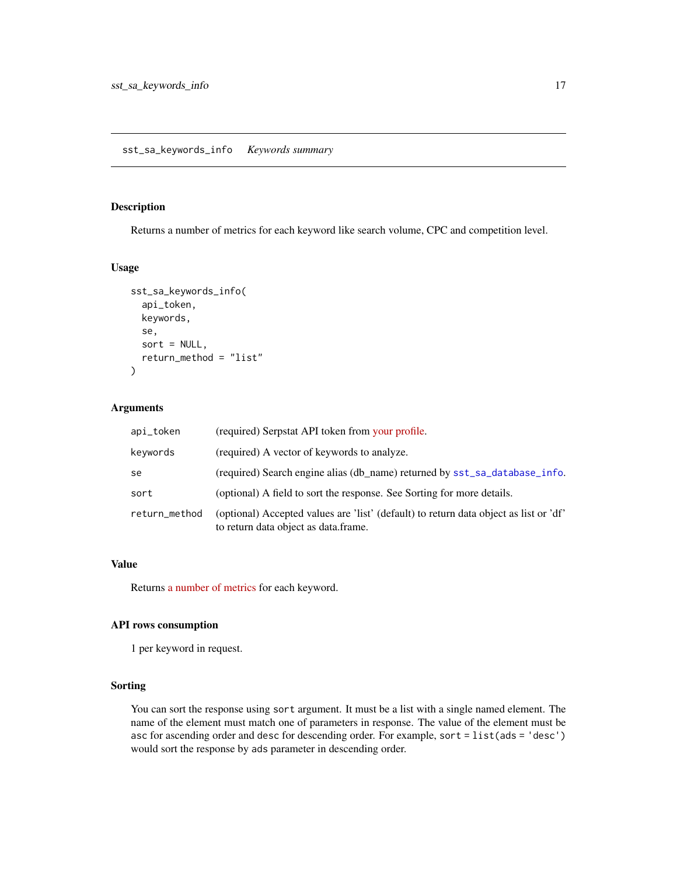#### <span id="page-16-1"></span><span id="page-16-0"></span>Description

Returns a number of metrics for each keyword like search volume, CPC and competition level.

#### Usage

```
sst_sa_keywords_info(
  api_token,
  keywords,
  se,
  sort = NULL,return_method = "list"
\mathcal{L}
```
## Arguments

| api_token     | (required) Serpstat API token from your profile.                                                                              |
|---------------|-------------------------------------------------------------------------------------------------------------------------------|
| keywords      | (required) A vector of keywords to analyze.                                                                                   |
| se            | (required) Search engine alias (db_name) returned by sst_sa_database_info.                                                    |
| sort          | (optional) A field to sort the response. See Sorting for more details.                                                        |
| return_method | (optional) Accepted values are 'list' (default) to return data object as list or 'df'<br>to return data object as data.frame. |

#### Value

Returns [a number of metrics](https://serpstat.com/api/31-keyword-overview-keywordinfo/) for each keyword.

#### API rows consumption

1 per keyword in request.

#### Sorting

You can sort the response using sort argument. It must be a list with a single named element. The name of the element must match one of parameters in response. The value of the element must be asc for ascending order and desc for descending order. For example, sort = list(ads = 'desc') would sort the response by ads parameter in descending order.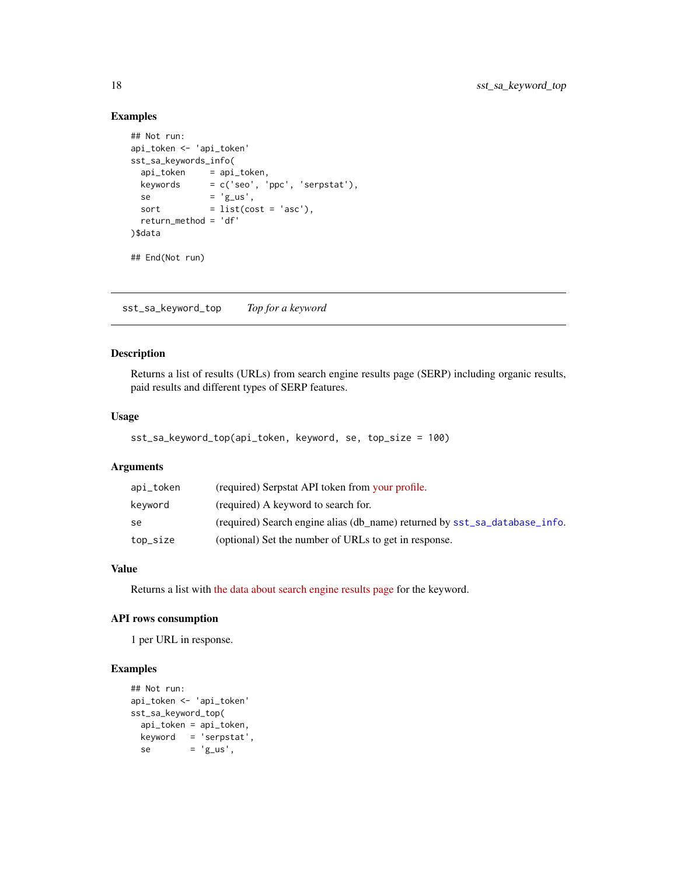## Examples

```
## Not run:
api_token <- 'api_token'
sst_sa_keywords_info(
 api_token = api_token,
 keywords = c('seo', 'ppc', 'serpstat'),
 se = 'g<sub>-us</sub>',
 sort = list(cost = 'asc'),
 return_method = 'df'
)$data
## End(Not run)
```
<span id="page-17-1"></span>sst\_sa\_keyword\_top *Top for a keyword*

## Description

Returns a list of results (URLs) from search engine results page (SERP) including organic results, paid results and different types of SERP features.

#### Usage

```
sst_sa_keyword_top(api_token, keyword, se, top_size = 100)
```
### Arguments

| api_token | (required) Serpstat API token from your profile.                           |
|-----------|----------------------------------------------------------------------------|
| keyword   | (required) A keyword to search for.                                        |
| se        | (required) Search engine alias (db name) returned by sst_sa_database_info. |
| top_size  | (optional) Set the number of URLs to get in response.                      |

## Value

Returns a list with [the data about search engine results page](https://serpstat.com/api/37-top-for-a-keyword-keywordtop/) for the keyword.

#### API rows consumption

1 per URL in response.

```
## Not run:
api_token <- 'api_token'
sst_sa_keyword_top(
 api_token = api_token,
 keyword = 'serpstat',
 se = 'g_us',
```
<span id="page-17-0"></span>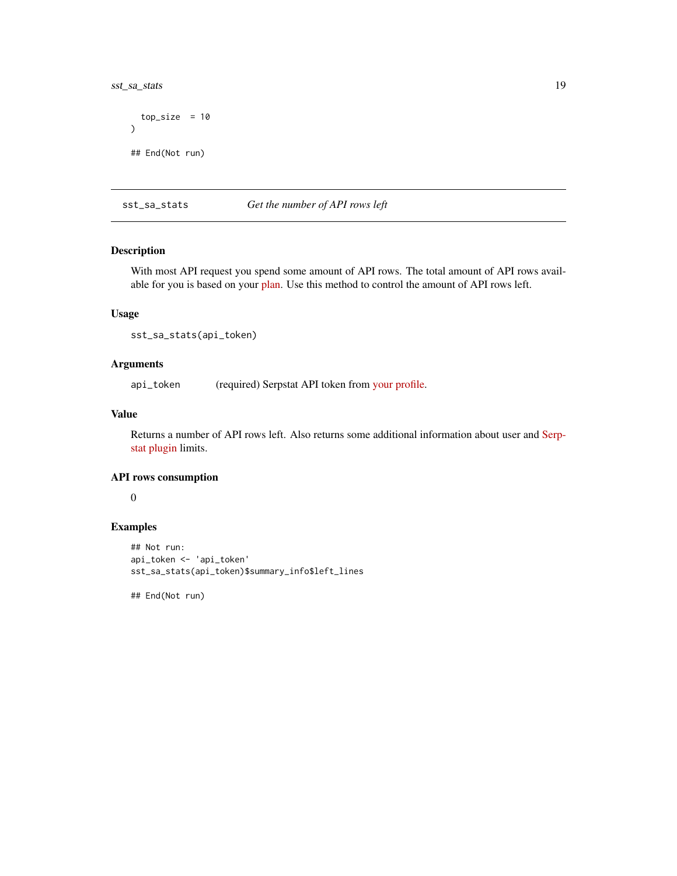<span id="page-18-0"></span>sst\_sa\_stats 19

```
top_size = 10\mathcal{L}## End(Not run)
```
<span id="page-18-1"></span>sst\_sa\_stats *Get the number of API rows left*

#### Description

With most API request you spend some amount of API rows. The total amount of API rows available for you is based on your [plan.](https://serpstat.com/pay/) Use this method to control the amount of API rows left.

#### Usage

sst\_sa\_stats(api\_token)

#### Arguments

api\_token (required) Serpstat API token from [your profile.](https://serpstat.com/users/profile/)

## Value

Returns a number of API rows left. Also returns some additional information about user and [Serp](https://serpstat.com/extension/)[stat plugin](https://serpstat.com/extension/) limits.

#### API rows consumption

0

#### Examples

```
## Not run:
api_token <- 'api_token'
sst_sa_stats(api_token)$summary_info$left_lines
```
## End(Not run)